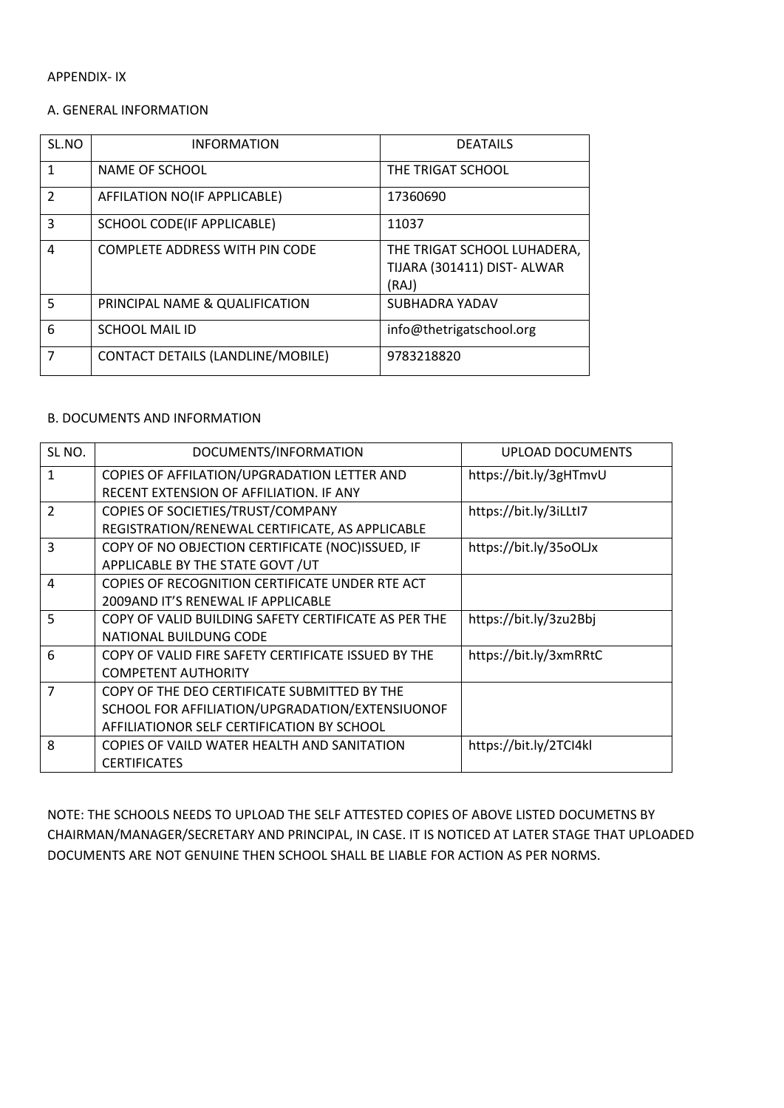#### A. GENERAL INFORMATION

| SL.NO          | <b>INFORMATION</b>                | <b>DEATAILS</b>                                                     |
|----------------|-----------------------------------|---------------------------------------------------------------------|
| 1              | NAME OF SCHOOL                    | THE TRIGAT SCHOOL                                                   |
| $\mathcal{P}$  | AFFILATION NO(IF APPLICABLE)      | 17360690                                                            |
| 3              | SCHOOL CODE(IF APPLICABLE)        | 11037                                                               |
| 4              | COMPLETE ADDRESS WITH PIN CODE    | THE TRIGAT SCHOOL LUHADERA,<br>TIJARA (301411) DIST- ALWAR<br>(RAJ) |
| 5              | PRINCIPAL NAME & QUALIFICATION    | SUBHADRA YADAV                                                      |
| 6              | <b>SCHOOL MAIL ID</b>             | info@thetrigatschool.org                                            |
| $\overline{7}$ | CONTACT DETAILS (LANDLINE/MOBILE) | 9783218820                                                          |

#### B. DOCUMENTS AND INFORMATION

| SL <sub>NO</sub> . | DOCUMENTS/INFORMATION                                | UPLOAD DOCUMENTS       |
|--------------------|------------------------------------------------------|------------------------|
| $\mathbf{1}$       | COPIES OF AFFILATION/UPGRADATION LETTER AND          | https://bit.ly/3gHTmvU |
|                    | RECENT EXTENSION OF AFFILIATION. IF ANY              |                        |
| $\overline{2}$     | COPIES OF SOCIETIES/TRUST/COMPANY                    | https://bit.ly/3iLLtl7 |
|                    | REGISTRATION/RENEWAL CERTIFICATE, AS APPLICABLE      |                        |
| 3                  | COPY OF NO OBJECTION CERTIFICATE (NOC)ISSUED, IF     | https://bit.ly/35oOLJx |
|                    | APPLICABLE BY THE STATE GOVT / UT                    |                        |
| 4                  | COPIES OF RECOGNITION CERTIFICATE UNDER RTE ACT      |                        |
|                    | 2009AND IT'S RENEWAL IF APPLICABLE                   |                        |
| 5                  | COPY OF VALID BUILDING SAFETY CERTIFICATE AS PER THE | https://bit.ly/3zu2Bbj |
|                    | NATIONAL BUILDUNG CODE                               |                        |
| 6                  | COPY OF VALID FIRE SAFETY CERTIFICATE ISSUED BY THE  | https://bit.ly/3xmRRtC |
|                    | <b>COMPETENT AUTHORITY</b>                           |                        |
| 7                  | COPY OF THE DEO CERTIFICATE SUBMITTED BY THE         |                        |
|                    | SCHOOL FOR AFFILIATION/UPGRADATION/EXTENSIUONOF      |                        |
|                    | AFFILIATIONOR SELF CERTIFICATION BY SCHOOL           |                        |
| 8                  | COPIES OF VAILD WATER HEALTH AND SANITATION          | https://bit.ly/2TCI4kl |
|                    | <b>CERTIFICATES</b>                                  |                        |

NOTE: THE SCHOOLS NEEDS TO UPLOAD THE SELF ATTESTED COPIES OF ABOVE LISTED DOCUMETNS BY CHAIRMAN/MANAGER/SECRETARY AND PRINCIPAL, IN CASE. IT IS NOTICED AT LATER STAGE THAT UPLOADED DOCUMENTS ARE NOT GENUINE THEN SCHOOL SHALL BE LIABLE FOR ACTION AS PER NORMS.